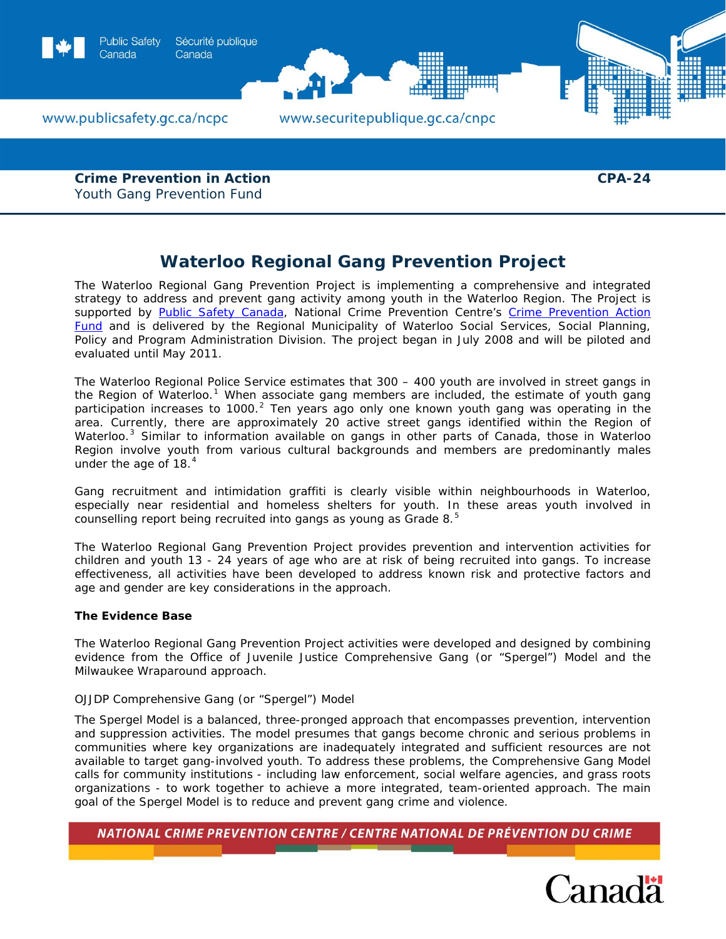

**Crime Prevention in Action**  Youth Gang Prevention Fund

**CPA-24** 

# **Waterloo Regional Gang Prevention Project**

The Waterloo Regional Gang Prevention Project is implementing a comprehensive and integrated strategy to address and prevent gang activity among youth in the Waterloo Region. The Project is supported by **[Public Safety Canada](http://www.publicsafety.gc.ca/prg/cp/index-eng.aspx)**, National Crime Prevention Centre's Crime Prevention Action [Fund](http://www.publicsafety.gc.ca/prg/cp/cpaf-index-eng.aspx) and is delivered by the Regional Municipality of Waterloo Social Services, Social Planning, Policy and Program Administration Division. The project began in July 2008 and will be piloted and evaluated until May 2011.

The Waterloo Regional Police Service estimates that 300 – 400 youth are involved in street gangs in the Region of Waterloo.<sup>[1](#page-3-0)</sup> When associate gang members are included, the estimate of youth gang participation increases to 1000.<sup>[2](#page-3-1)</sup> Ten years ago only one known youth gang was operating in the area. Currently, there are approximately 20 active street gangs identified within the Region of Waterloo.<sup>[3](#page-3-1)</sup> Similar to information available on gangs in other parts of Canada, those in Waterloo Region involve youth from various cultural backgrounds and members are predominantly males under the age of  $18.<sup>4</sup>$  $18.<sup>4</sup>$  $18.<sup>4</sup>$ 

Gang recruitment and intimidation graffiti is clearly visible within neighbourhoods in Waterloo, especially near residential and homeless shelters for youth. In these areas youth involved in counselling report being recruited into gangs as young as Grade 8.<sup>[5](#page-3-1)</sup>

The Waterloo Regional Gang Prevention Project provides prevention and intervention activities for children and youth 13 - 24 years of age who are at risk of being recruited into gangs. To increase effectiveness, all activities have been developed to address known risk and protective factors and age and gender are key considerations in the approach.

# **The Evidence Base**

The Waterloo Regional Gang Prevention Project activities were developed and designed by combining evidence from the Office of Juvenile Justice Comprehensive Gang (or "Spergel") Model and the Milwaukee Wraparound approach.

# *OJJDP Comprehensive Gang (or "Spergel") Model*

The Spergel Model is a balanced, three-pronged approach that encompasses prevention, intervention and suppression activities. The model presumes that gangs become chronic and serious problems in communities where key organizations are inadequately integrated and sufficient resources are not available to target gang-involved youth. To address these problems, the Comprehensive Gang Model calls for community institutions - including law enforcement, social welfare agencies, and grass roots organizations - to work together to achieve a more integrated, team-oriented approach. The main goal of the Spergel Model is to reduce and prevent gang crime and violence.

NATIONAL CRIME PREVENTION CENTRE / CENTRE NATIONAL DE PRÉVENTION DU CRIME

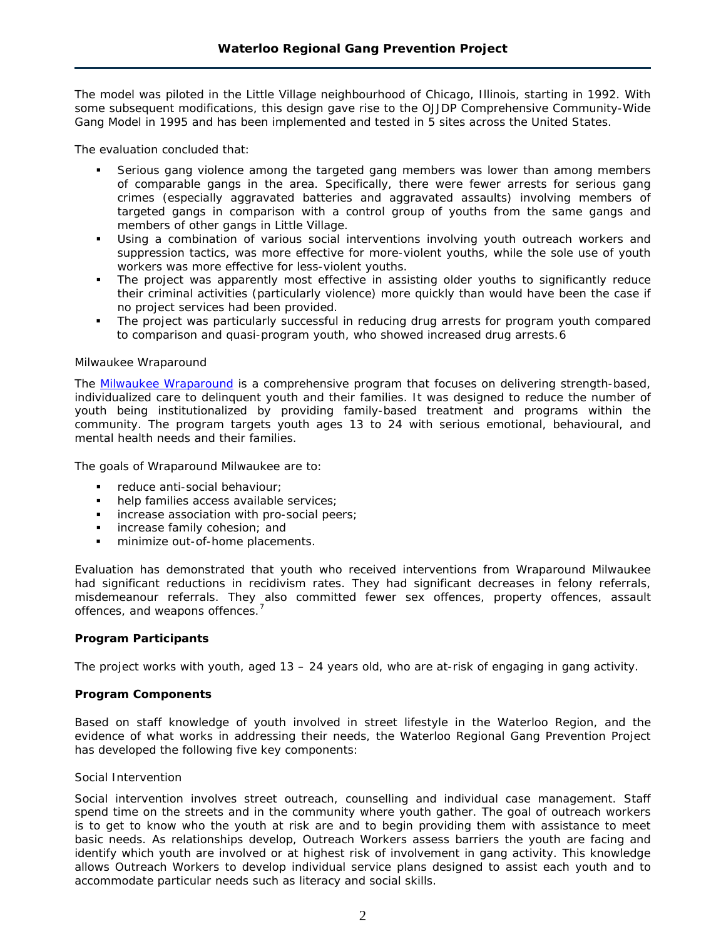The model was piloted in the Little Village neighbourhood of Chicago, Illinois, starting in 1992. With some subsequent modifications, this design gave rise to the OJJDP Comprehensive Community-Wide Gang Model in 1995 and has been implemented and tested in 5 sites across the United States.

The evaluation concluded that:

- Serious gang violence among the targeted gang members was lower than among members of comparable gangs in the area. Specifically, there were fewer arrests for serious gang crimes (especially aggravated batteries and aggravated assaults) involving members of targeted gangs in comparison with a control group of youths from the same gangs and members of other gangs in Little Village.
- Using a combination of various social interventions involving youth outreach workers and suppression tactics, was more effective for more-violent youths, while the sole use of youth workers was more effective for less-violent youths.
- The project was apparently most effective in assisting older youths to significantly reduce their criminal activities (particularly violence) more quickly than would have been the case if no project services had been provided.
- The project was particularly successful in reducing drug arrests for program youth compared to comparison and quasi-program youth, who showed increased drug arrests.[6](#page-3-2)

# *Milwaukee Wraparound*

The [Milwaukee Wraparound](http://www.publicsafety.gc.ca/res/cp/res/2008-pcpp-eng.aspx#toc_5h) is a comprehensive program that focuses on delivering strength-based, individualized care to delinquent youth and their families. It was designed to reduce the number of youth being institutionalized by providing family-based treatment and programs within the community. The program targets youth ages 13 to 24 with serious emotional, behavioural, and mental health needs and their families.

The goals of Wraparound Milwaukee are to:

- **F** reduce anti-social behaviour;
- help families access available services;
- increase association with pro-social peers;
- **increase family cohesion; and**
- minimize out-of-home placements.

Evaluation has demonstrated that youth who received interventions from Wraparound Milwaukee had significant reductions in recidivism rates. They had significant decreases in felony referrals, misdemeanour referrals. They also committed fewer sex offences, property offences, assault offences, and weapons offences.<sup>[7](#page-3-2)</sup>

# **Program Participants**

The project works with youth, aged 13 – 24 years old, who are at-risk of engaging in gang activity.

# **Program Components**

Based on staff knowledge of youth involved in street lifestyle in the Waterloo Region, and the evidence of what works in addressing their needs, the Waterloo Regional Gang Prevention Project has developed the following five key components:

# *Social Intervention*

Social intervention involves street outreach, counselling and individual case management. Staff spend time on the streets and in the community where youth gather. The goal of outreach workers is to get to know who the youth at risk are and to begin providing them with assistance to meet basic needs. As relationships develop, Outreach Workers assess barriers the youth are facing and identify which youth are involved or at highest risk of involvement in gang activity. This knowledge allows Outreach Workers to develop individual service plans designed to assist each youth and to accommodate particular needs such as literacy and social skills.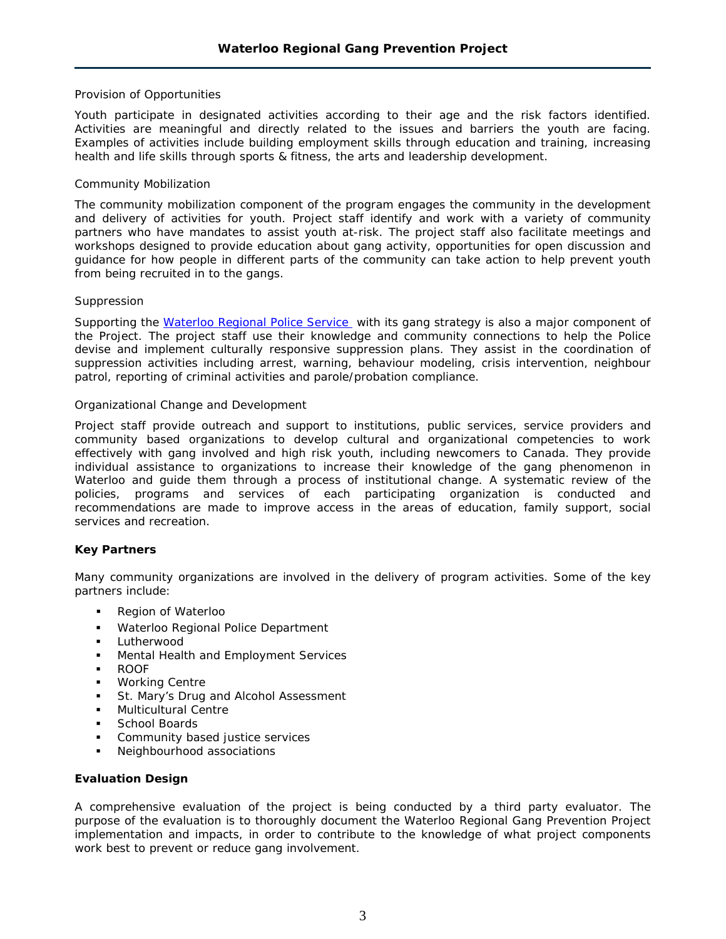# *Provision of Opportunities*

Youth participate in designated activities according to their age and the risk factors identified. Activities are meaningful and directly related to the issues and barriers the youth are facing. Examples of activities include building employment skills through education and training, increasing health and life skills through sports & fitness, the arts and leadership development.

# *Community Mobilization*

The community mobilization component of the program engages the community in the development and delivery of activities for youth. Project staff identify and work with a variety of community partners who have mandates to assist youth at-risk. The project staff also facilitate meetings and workshops designed to provide education about gang activity, opportunities for open discussion and guidance for how people in different parts of the community can take action to help prevent youth from being recruited in to the gangs.

# *Suppression*

Supporting the [Waterloo Regional Police Service](http://www.wrps.on.ca/) with its gang strategy is also a major component of the Project. The project staff use their knowledge and community connections to help the Police devise and implement culturally responsive suppression plans. They assist in the coordination of suppression activities including arrest, warning, behaviour modeling, crisis intervention, neighbour patrol, reporting of criminal activities and parole/probation compliance.

# *Organizational Change and Development*

Project staff provide outreach and support to institutions, public services, service providers and community based organizations to develop cultural and organizational competencies to work effectively with gang involved and high risk youth, including newcomers to Canada. They provide individual assistance to organizations to increase their knowledge of the gang phenomenon in Waterloo and guide them through a process of institutional change. A systematic review of the policies, programs and services of each participating organization is conducted and recommendations are made to improve access in the areas of education, family support, social services and recreation.

# **Key Partners**

Many community organizations are involved in the delivery of program activities. Some of the key partners include:

- Region of Waterloo
- **Waterloo Regional Police Department**
- **Lutherwood**
- Mental Health and Employment Services
- ROOF
- **Working Centre**
- **St. Mary's Drug and Alcohol Assessment**
- **Multicultural Centre**
- School Boards
- Community based justice services
- Neighbourhood associations

# **Evaluation Design**

A comprehensive evaluation of the project is being conducted by a third party evaluator. The purpose of the evaluation is to thoroughly document the Waterloo Regional Gang Prevention Project implementation and impacts, in order to contribute to the knowledge of what project components work best to prevent or reduce gang involvement.